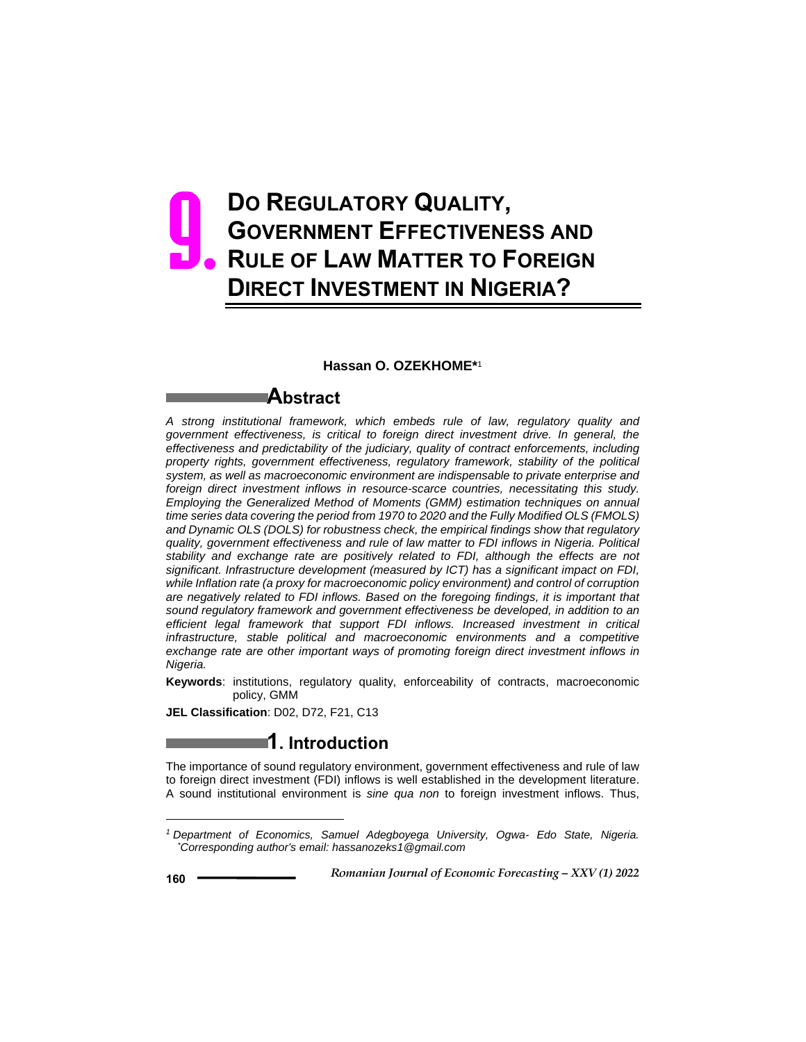# **DO REGULATORY QUALITY, GOVERNMENT EFFECTIVENESS AND RULE OF LAW MATTER TO FOREIGN DIRECT INVESTMENT IN NIGERIA?**  9.

#### **Hassan O. OZEKHOME\***<sup>1</sup>

### **Abstract**

*A strong institutional framework, which embeds rule of law, regulatory quality and government effectiveness, is critical to foreign direct investment drive. In general, the effectiveness and predictability of the judiciary, quality of contract enforcements, including property rights, government effectiveness, regulatory framework, stability of the political system, as well as macroeconomic environment are indispensable to private enterprise and foreign direct investment inflows in resource-scarce countries, necessitating this study. Employing the Generalized Method of Moments (GMM) estimation techniques on annual time series data covering the period from 1970 to 2020 and the Fully Modified OLS (FMOLS) and Dynamic OLS (DOLS) for robustness check, the empirical findings show that regulatory quality, government effectiveness and rule of law matter to FDI inflows in Nigeria. Political stability and exchange rate are positively related to FDI, although the effects are not significant. Infrastructure development (measured by ICT) has a significant impact on FDI, while Inflation rate (a proxy for macroeconomic policy environment) and control of corruption are negatively related to FDI inflows. Based on the foregoing findings, it is important that sound regulatory framework and government effectiveness be developed, in addition to an efficient legal framework that support FDI inflows. Increased investment in critical infrastructure, stable political and macroeconomic environments and a competitive exchange rate are other important ways of promoting foreign direct investment inflows in Nigeria.*

**Keywords**: institutions, regulatory quality, enforceability of contracts, macroeconomic policy, GMM

**JEL Classification**: D02, D72, F21, C13

## **1. Introduction**

The importance of sound regulatory environment, government effectiveness and rule of law to foreign direct investment (FDI) inflows is well established in the development literature. A sound institutional environment is *sine qua non* to foreign investment inflows. Thus,

 $\overline{a}$ 

*<sup>1</sup> Department of Economics, Samuel Adegboyega University, Ogwa- Edo State, Nigeria. \* Corresponding author's email: hassanozeks1@gmail.com*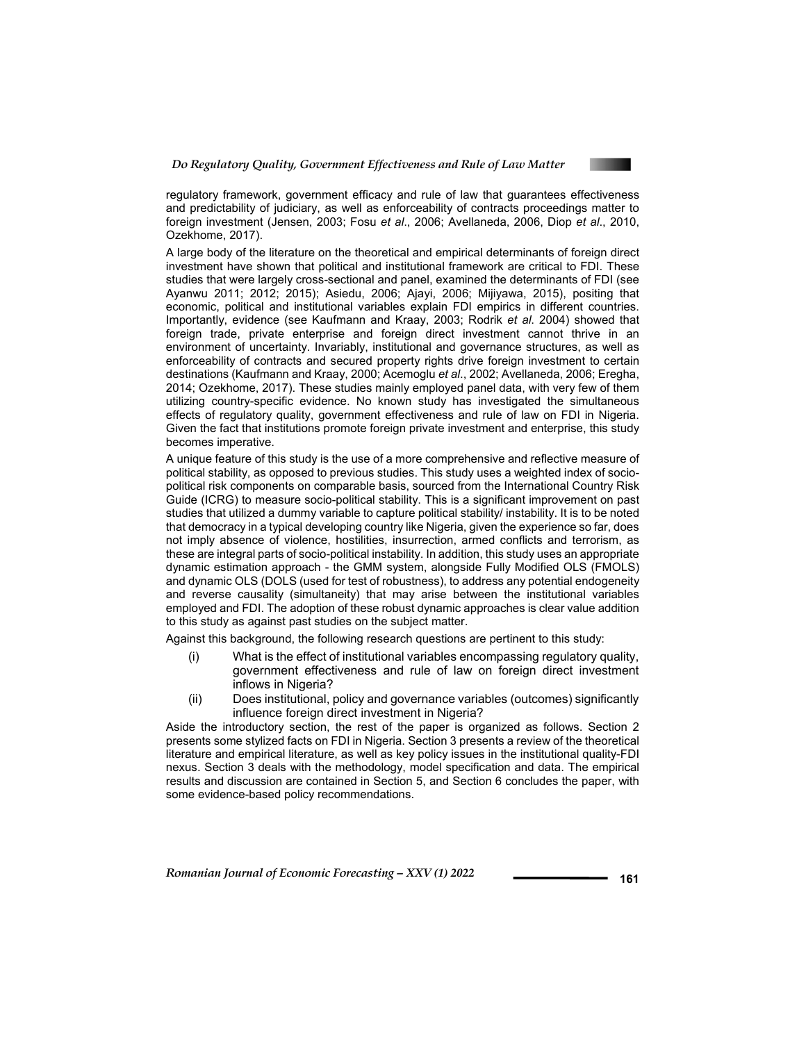

regulatory framework, government efficacy and rule of law that guarantees effectiveness and predictability of judiciary, as well as enforceability of contracts proceedings matter to foreign investment (Jensen, 2003; Fosu *et al*., 2006; Avellaneda, 2006, Diop *et al*., 2010, Ozekhome, 2017).

A large body of the literature on the theoretical and empirical determinants of foreign direct investment have shown that political and institutional framework are critical to FDI. These studies that were largely cross-sectional and panel, examined the determinants of FDI (see Ayanwu 2011; 2012; 2015); Asiedu, 2006; Ajayi, 2006; Mijiyawa, 2015), positing that economic, political and institutional variables explain FDI empirics in different countries. Importantly, evidence (see Kaufmann and Kraay, 2003; Rodrik *et al*. 2004) showed that foreign trade, private enterprise and foreign direct investment cannot thrive in an environment of uncertainty. Invariably, institutional and governance structures, as well as enforceability of contracts and secured property rights drive foreign investment to certain destinations (Kaufmann and Kraay, 2000; Acemoglu *et al*., 2002; Avellaneda, 2006; Eregha, 2014; Ozekhome, 2017). These studies mainly employed panel data, with very few of them utilizing country-specific evidence. No known study has investigated the simultaneous effects of regulatory quality, government effectiveness and rule of law on FDI in Nigeria. Given the fact that institutions promote foreign private investment and enterprise, this study becomes imperative.

A unique feature of this study is the use of a more comprehensive and reflective measure of political stability, as opposed to previous studies. This study uses a weighted index of sociopolitical risk components on comparable basis, sourced from the International Country Risk Guide (ICRG) to measure socio-political stability. This is a significant improvement on past studies that utilized a dummy variable to capture political stability/ instability. It is to be noted that democracy in a typical developing country like Nigeria, given the experience so far, does not imply absence of violence, hostilities, insurrection, armed conflicts and terrorism, as these are integral parts of socio-political instability. In addition, this study uses an appropriate dynamic estimation approach - the GMM system, alongside Fully Modified OLS (FMOLS) and dynamic OLS (DOLS (used for test of robustness), to address any potential endogeneity and reverse causality (simultaneity) that may arise between the institutional variables employed and FDI. The adoption of these robust dynamic approaches is clear value addition to this study as against past studies on the subject matter.

Against this background, the following research questions are pertinent to this study:

- (i) What is the effect of institutional variables encompassing regulatory quality, government effectiveness and rule of law on foreign direct investment inflows in Nigeria?
- (ii) Does institutional, policy and governance variables (outcomes) significantly influence foreign direct investment in Nigeria?

Aside the introductory section, the rest of the paper is organized as follows. Section 2 presents some stylized facts on FDI in Nigeria. Section 3 presents a review of the theoretical literature and empirical literature, as well as key policy issues in the institutional quality-FDI nexus. Section 3 deals with the methodology, model specification and data. The empirical results and discussion are contained in Section 5, and Section 6 concludes the paper, with some evidence-based policy recommendations.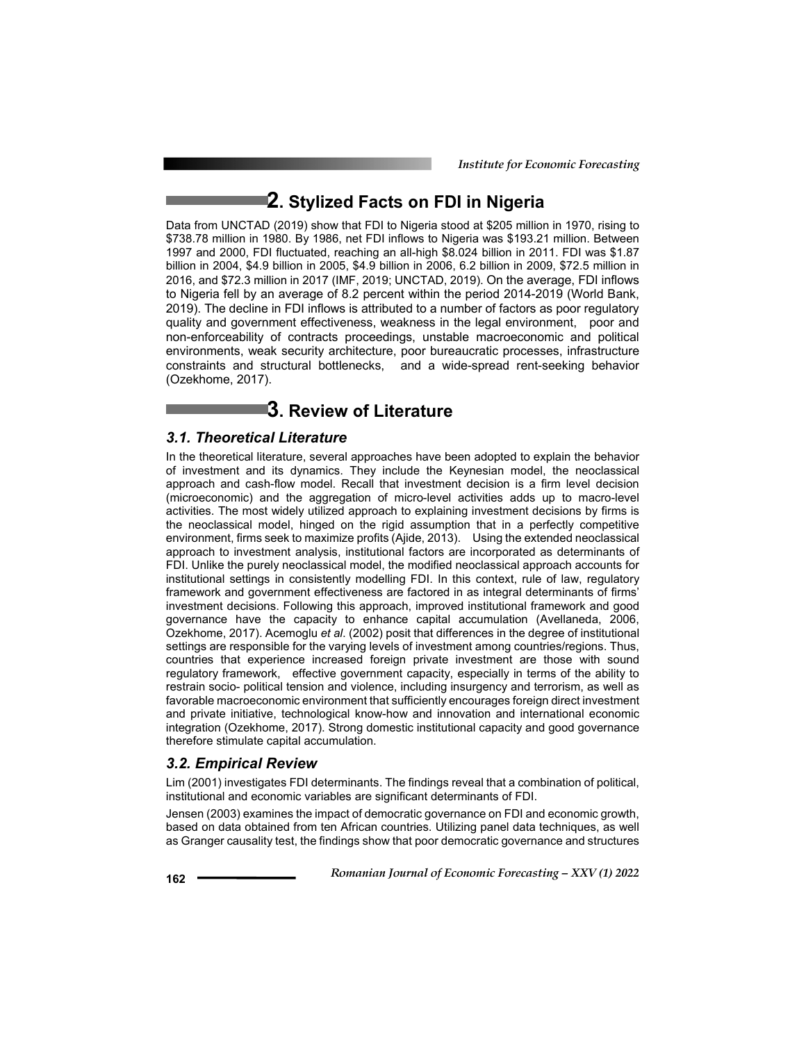# **2. Stylized Facts on FDI in Nigeria**

Data from UNCTAD (2019) show that FDI to Nigeria stood at \$205 million in 1970, rising to \$738.78 million in 1980. By 1986, net FDI inflows to Nigeria was \$193.21 million. Between 1997 and 2000, FDI fluctuated, reaching an all-high \$8.024 billion in 2011. FDI was \$1.87 billion in 2004, \$4.9 billion in 2005, \$4.9 billion in 2006, 6.2 billion in 2009, \$72.5 million in 2016, and \$72.3 million in 2017 (IMF, 2019; UNCTAD, 2019). On the average, FDI inflows to Nigeria fell by an average of 8.2 percent within the period 2014-2019 (World Bank, 2019). The decline in FDI inflows is attributed to a number of factors as poor regulatory quality and government effectiveness, weakness in the legal environment, poor and non-enforceability of contracts proceedings, unstable macroeconomic and political environments, weak security architecture, poor bureaucratic processes, infrastructure constraints and structural bottlenecks, and a wide-spread rent-seeking behavior (Ozekhome, 2017).

## **3. Review of Literature**

### *3.1. Theoretical Literature*

In the theoretical literature, several approaches have been adopted to explain the behavior of investment and its dynamics. They include the Keynesian model, the neoclassical approach and cash-flow model. Recall that investment decision is a firm level decision (microeconomic) and the aggregation of micro-level activities adds up to macro-level activities. The most widely utilized approach to explaining investment decisions by firms is the neoclassical model, hinged on the rigid assumption that in a perfectly competitive environment, firms seek to maximize profits (Ajide, 2013). Using the extended neoclassical approach to investment analysis, institutional factors are incorporated as determinants of FDI. Unlike the purely neoclassical model, the modified neoclassical approach accounts for institutional settings in consistently modelling FDI. In this context, rule of law, regulatory framework and government effectiveness are factored in as integral determinants of firms' investment decisions. Following this approach, improved institutional framework and good governance have the capacity to enhance capital accumulation (Avellaneda, 2006, Ozekhome, 2017). Acemoglu *et al*. (2002) posit that differences in the degree of institutional settings are responsible for the varying levels of investment among countries/regions. Thus, countries that experience increased foreign private investment are those with sound regulatory framework, effective government capacity, especially in terms of the ability to restrain socio- political tension and violence, including insurgency and terrorism, as well as favorable macroeconomic environment that sufficiently encourages foreign direct investment and private initiative, technological know-how and innovation and international economic integration (Ozekhome, 2017). Strong domestic institutional capacity and good governance therefore stimulate capital accumulation.

### *3.2. Empirical Review*

Lim (2001) investigates FDI determinants. The findings reveal that a combination of political, institutional and economic variables are significant determinants of FDI.

Jensen (2003) examines the impact of democratic governance on FDI and economic growth, based on data obtained from ten African countries. Utilizing panel data techniques, as well as Granger causality test, the findings show that poor democratic governance and structures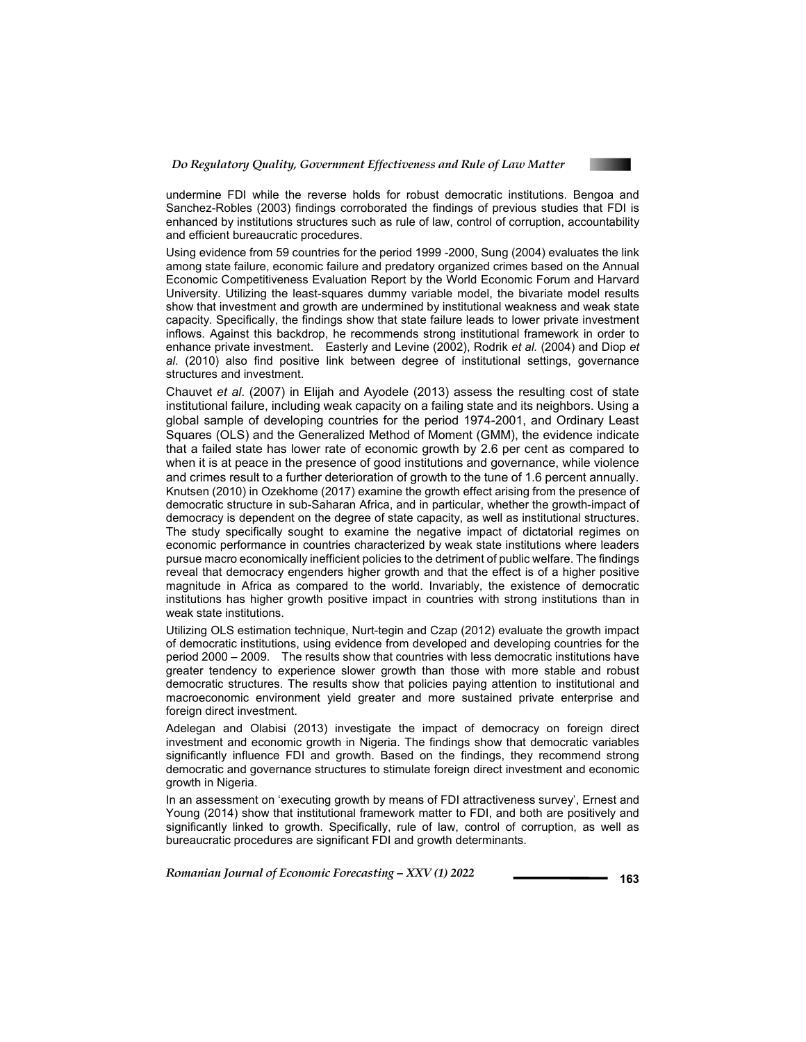

undermine FDI while the reverse holds for robust democratic institutions. Bengoa and Sanchez-Robles (2003) findings corroborated the findings of previous studies that FDI is enhanced by institutions structures such as rule of law, control of corruption, accountability and efficient bureaucratic procedures.

Using evidence from 59 countries for the period 1999 -2000, Sung (2004) evaluates the link among state failure, economic failure and predatory organized crimes based on the Annual Economic Competitiveness Evaluation Report by the World Economic Forum and Harvard University. Utilizing the least-squares dummy variable model, the bivariate model results show that investment and growth are undermined by institutional weakness and weak state capacity. Specifically, the findings show that state failure leads to lower private investment inflows. Against this backdrop, he recommends strong institutional framework in order to enhance private investment. Easterly and Levine (2002), Rodrik *et al.* (2004) and Diop *et al*. (2010) also find positive link between degree of institutional settings, governance structures and investment.

Chauvet *et al*. (2007) in Elijah and Ayodele (2013) assess the resulting cost of state institutional failure, including weak capacity on a failing state and its neighbors. Using a global sample of developing countries for the period 1974-2001, and Ordinary Least Squares (OLS) and the Generalized Method of Moment (GMM), the evidence indicate that a failed state has lower rate of economic growth by 2.6 per cent as compared to when it is at peace in the presence of good institutions and governance, while violence and crimes result to a further deterioration of growth to the tune of 1.6 percent annually. Knutsen (2010) in Ozekhome (2017) examine the growth effect arising from the presence of democratic structure in sub-Saharan Africa, and in particular, whether the growth-impact of democracy is dependent on the degree of state capacity, as well as institutional structures. The study specifically sought to examine the negative impact of dictatorial regimes on economic performance in countries characterized by weak state institutions where leaders pursue macro economically inefficient policies to the detriment of public welfare. The findings reveal that democracy engenders higher growth and that the effect is of a higher positive magnitude in Africa as compared to the world. Invariably, the existence of democratic institutions has higher growth positive impact in countries with strong institutions than in weak state institutions.

Utilizing OLS estimation technique, Nurt-tegin and Czap (2012) evaluate the growth impact of democratic institutions, using evidence from developed and developing countries for the period 2000 – 2009. The results show that countries with less democratic institutions have greater tendency to experience slower growth than those with more stable and robust democratic structures. The results show that policies paying attention to institutional and macroeconomic environment yield greater and more sustained private enterprise and foreign direct investment.

Adelegan and Olabisi (2013) investigate the impact of democracy on foreign direct investment and economic growth in Nigeria. The findings show that democratic variables significantly influence FDI and growth. Based on the findings, they recommend strong democratic and governance structures to stimulate foreign direct investment and economic growth in Nigeria.

In an assessment on 'executing growth by means of FDI attractiveness survey', Ernest and Young (2014) show that institutional framework matter to FDI, and both are positively and significantly linked to growth. Specifically, rule of law, control of corruption, as well as bureaucratic procedures are significant FDI and growth determinants.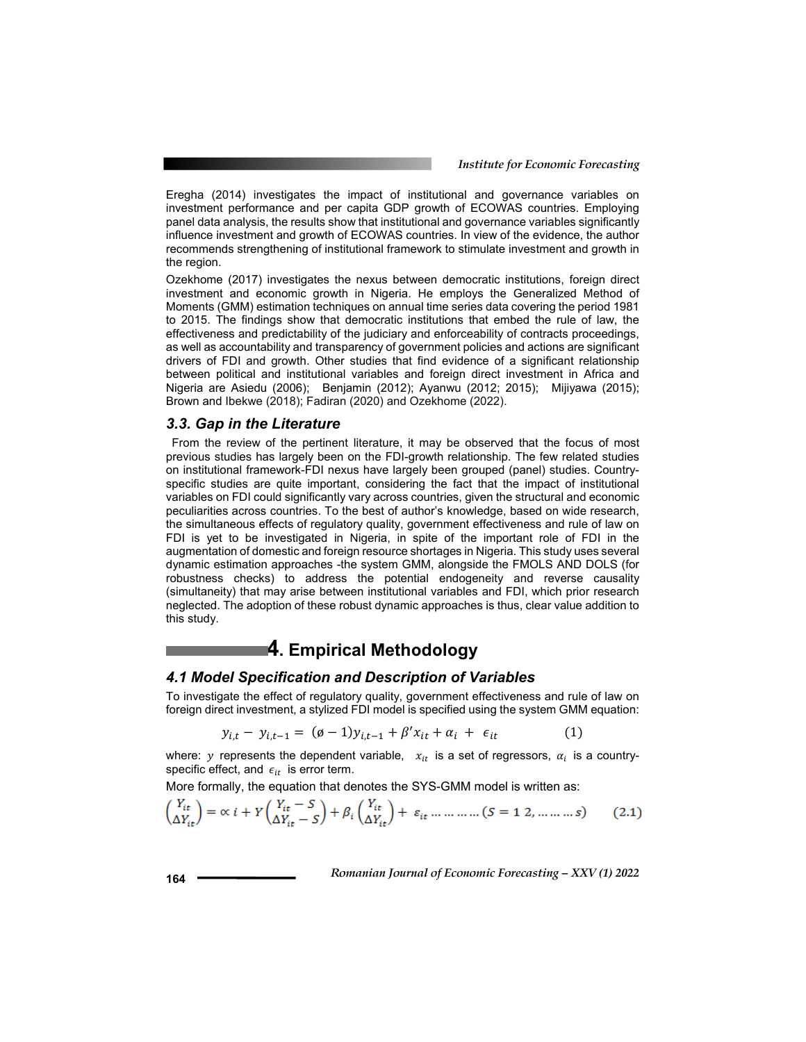Eregha (2014) investigates the impact of institutional and governance variables on investment performance and per capita GDP growth of ECOWAS countries. Employing panel data analysis, the results show that institutional and governance variables significantly influence investment and growth of ECOWAS countries. In view of the evidence, the author recommends strengthening of institutional framework to stimulate investment and growth in the region.

Ozekhome (2017) investigates the nexus between democratic institutions, foreign direct investment and economic growth in Nigeria. He employs the Generalized Method of Moments (GMM) estimation techniques on annual time series data covering the period 1981 to 2015. The findings show that democratic institutions that embed the rule of law, the effectiveness and predictability of the judiciary and enforceability of contracts proceedings, as well as accountability and transparency of government policies and actions are significant drivers of FDI and growth. Other studies that find evidence of a significant relationship between political and institutional variables and foreign direct investment in Africa and Nigeria are Asiedu (2006); Benjamin (2012); Ayanwu (2012; 2015); Mijiyawa (2015); Brown and Ibekwe (2018); Fadiran (2020) and Ozekhome (2022).

#### *3.3. Gap in the Literature*

 From the review of the pertinent literature, it may be observed that the focus of most previous studies has largely been on the FDI-growth relationship. The few related studies on institutional framework-FDI nexus have largely been grouped (panel) studies. Countryspecific studies are quite important, considering the fact that the impact of institutional variables on FDI could significantly vary across countries, given the structural and economic peculiarities across countries. To the best of author's knowledge, based on wide research, the simultaneous effects of regulatory quality, government effectiveness and rule of law on FDI is yet to be investigated in Nigeria, in spite of the important role of FDI in the augmentation of domestic and foreign resource shortages in Nigeria. This study uses several dynamic estimation approaches -the system GMM, alongside the FMOLS AND DOLS (for robustness checks) to address the potential endogeneity and reverse causality (simultaneity) that may arise between institutional variables and FDI, which prior research neglected. The adoption of these robust dynamic approaches is thus, clear value addition to this study.

## **4. Empirical Methodology**

#### *4.1 Model Specification and Description of Variables*

To investigate the effect of regulatory quality, government effectiveness and rule of law on foreign direct investment, a stylized FDI model is specified using the system GMM equation:

$$
y_{i,t} - y_{i,t-1} = (\emptyset - 1)y_{i,t-1} + \beta' x_{it} + \alpha_i + \epsilon_{it}
$$
 (1)

where: y represents the dependent variable,  $x_{it}$  is a set of regressors,  $\alpha_i$  is a countryspecific effect, and  $\epsilon_{it}$  is error term.

More formally, the equation that denotes the SYS-GMM model is written as:

$$
\begin{pmatrix} Y_{it} \\ \Delta Y_{it} \end{pmatrix} = \alpha \ i + Y \begin{pmatrix} Y_{it} - S \\ \Delta Y_{it} - S \end{pmatrix} + \beta_i \begin{pmatrix} Y_{it} \\ \Delta Y_{it} \end{pmatrix} + \varepsilon_{it} \dots \dots \dots \dots \dots (S = 1 \ 2, \dots \dots \dots s)
$$
 (2.1)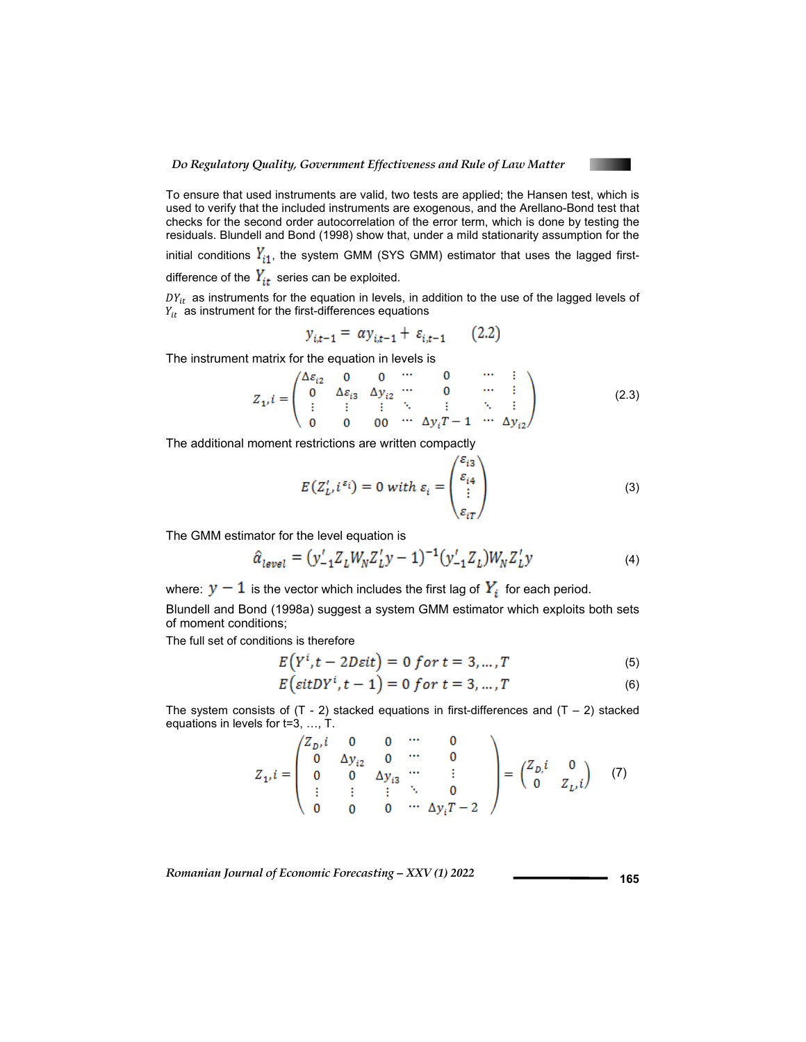

To ensure that used instruments are valid, two tests are applied; the Hansen test, which is used to verify that the included instruments are exogenous, and the Arellano-Bond test that checks for the second order autocorrelation of the error term, which is done by testing the residuals. Blundell and Bond (1998) show that, under a mild stationarity assumption for the initial conditions  $Y_{i1}$ , the system GMM (SYS GMM) estimator that uses the lagged first-

difference of the  $Y_{it}$  series can be exploited.

 $DY_{it}$  as instruments for the equation in levels, in addition to the use of the lagged levels of  $Y_{it}$  as instrument for the first-differences equations

$$
y_{i,t-1} = \alpha y_{i,t-1} + \varepsilon_{i,t-1} \qquad (2.2)
$$

The instrument matrix for the equation in levels is

$$
Z_{1'}i = \begin{pmatrix} \Delta\varepsilon_{i2} & 0 & 0 & \cdots & 0 & \cdots & \vdots \\ 0 & \Delta\varepsilon_{i3} & \Delta y_{i2} & \cdots & 0 & \cdots & \vdots \\ \vdots & \vdots & \vdots & \ddots & \vdots & \ddots & \vdots \\ 0 & 0 & 0 & \cdots & \Delta y_i T - 1 & \cdots & \Delta y_{i2} \end{pmatrix}
$$
(2.3)

The additional moment restrictions are written compactly

$$
E(Z'_L, i^{\varepsilon_i}) = 0 \text{ with } \varepsilon_i = \begin{pmatrix} \varepsilon_{i3} \\ \varepsilon_{i4} \\ \vdots \\ \varepsilon_{iT} \end{pmatrix}
$$
 (3)

The GMM estimator for the level equation is

$$
\hat{\alpha}_{level} = (y'_{-1}Z_L W_N Z'_L y - 1)^{-1} (y'_{-1}Z_L) W_N Z'_L y \tag{4}
$$

where:  $y - 1$  is the vector which includes the first lag of  $Y_i$  for each period.

Blundell and Bond (1998a) suggest a system GMM estimator which exploits both sets of moment conditions;

The full set of conditions is therefore

$$
E(Y^t, t - 2D\varepsilon t) = 0 \text{ for } t = 3, \dots, T
$$
 (5)

$$
E\left(\text{sit}DY^{t}, t-1\right) = 0 \text{ for } t = 3, \dots, T \tag{6}
$$

The system consists of  $(T - 2)$  stacked equations in first-differences and  $(T - 2)$  stacked equations in levels for t=3, …, T.

$$
Z_{1i}i = \begin{pmatrix} Z_{Di}i & 0 & 0 & \cdots & 0 \\ 0 & \Delta y_{i2} & 0 & \cdots & 0 \\ 0 & 0 & \Delta y_{i3} & \cdots & \vdots \\ \vdots & \vdots & \vdots & \ddots & 0 \\ 0 & 0 & 0 & \cdots & \Delta y_{i}T - 2 \end{pmatrix} = \begin{pmatrix} Z_{Di}i & 0 \\ 0 & Z_{Li}i \end{pmatrix} \quad (7)
$$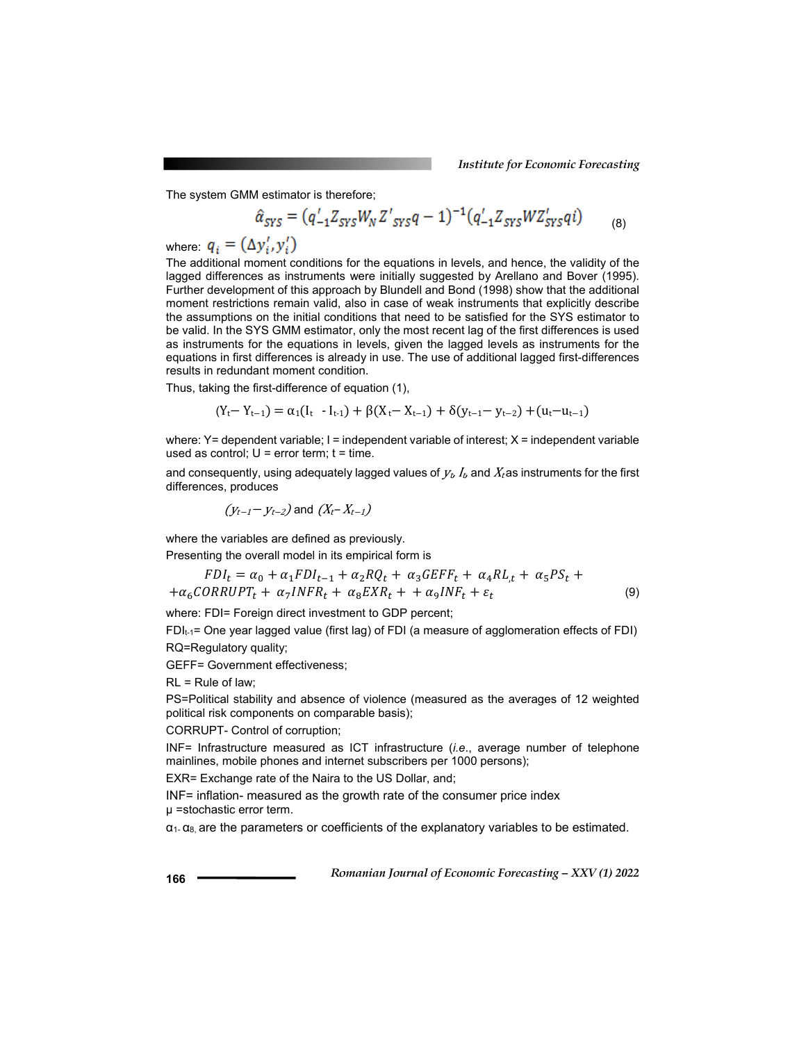The system GMM estimator is therefore;

$$
\hat{\alpha}_{SYS} = (q'_{-1}Z_{SYS}W_NZ'_{SYS}q-1)^{-1}(q'_{-1}Z_{SYS}WZ'_{SYS}qi) \tag{8}
$$

where:  $q_i = (\Delta y_i', y_i')$ 

The additional moment conditions for the equations in levels, and hence, the validity of the lagged differences as instruments were initially suggested by Arellano and Bover (1995). Further development of this approach by Blundell and Bond (1998) show that the additional moment restrictions remain valid, also in case of weak instruments that explicitly describe the assumptions on the initial conditions that need to be satisfied for the SYS estimator to be valid. In the SYS GMM estimator, only the most recent lag of the first differences is used as instruments for the equations in levels, given the lagged levels as instruments for the equations in first differences is already in use. The use of additional lagged first-differences results in redundant moment condition.

Thus, taking the first-difference of equation (1),

$$
(Y_t - Y_{t-1}) = \alpha_1(I_t - I_{t-1}) + \beta(X_t - X_{t-1}) + \delta(y_{t-1} - y_{t-2}) + (u_t - u_{t-1})
$$

where:  $Y=$  dependent variable;  $I=$  independent variable of interest;  $X=$  independent variable used as control;  $U = error term$ ;  $t = time$ .

and consequently, using adequately lagged values of  $V_t$ ,  $I_t$ , and  $X_t$  as instruments for the first differences, produces

$$
(y_{t-1} - y_{t-2})
$$
 and  $(X_t - X_{t-1})$ 

where the variables are defined as previously.

Presenting the overall model in its empirical form is

$$
FDI_t = \alpha_0 + \alpha_1 FDI_{t-1} + \alpha_2 RQ_t + \alpha_3 GEFF_t + \alpha_4 RL_t + \alpha_5 PS_t +
$$
  
+
$$
\alpha_6 CORRUPT_t + \alpha_7 INFR_t + \alpha_8 EXP_t + \alpha_9 INF_t + \varepsilon_t
$$
 (9)

where: FDI= Foreign direct investment to GDP percent;

FDIt-1= One year lagged value (first lag) of FDI (a measure of agglomeration effects of FDI) RQ=Regulatory quality;

GEFF= Government effectiveness;

 $RL = Rule of law$ ;

PS=Political stability and absence of violence (measured as the averages of 12 weighted political risk components on comparable basis);

CORRUPT- Control of corruption;

INF= Infrastructure measured as ICT infrastructure (*i.e*., average number of telephone mainlines, mobile phones and internet subscribers per 1000 persons);

EXR= Exchange rate of the Naira to the US Dollar, and;

INF= inflation- measured as the growth rate of the consumer price index µ =stochastic error term.

 $\alpha_1$ -  $\alpha_8$  are the parameters or coefficients of the explanatory variables to be estimated.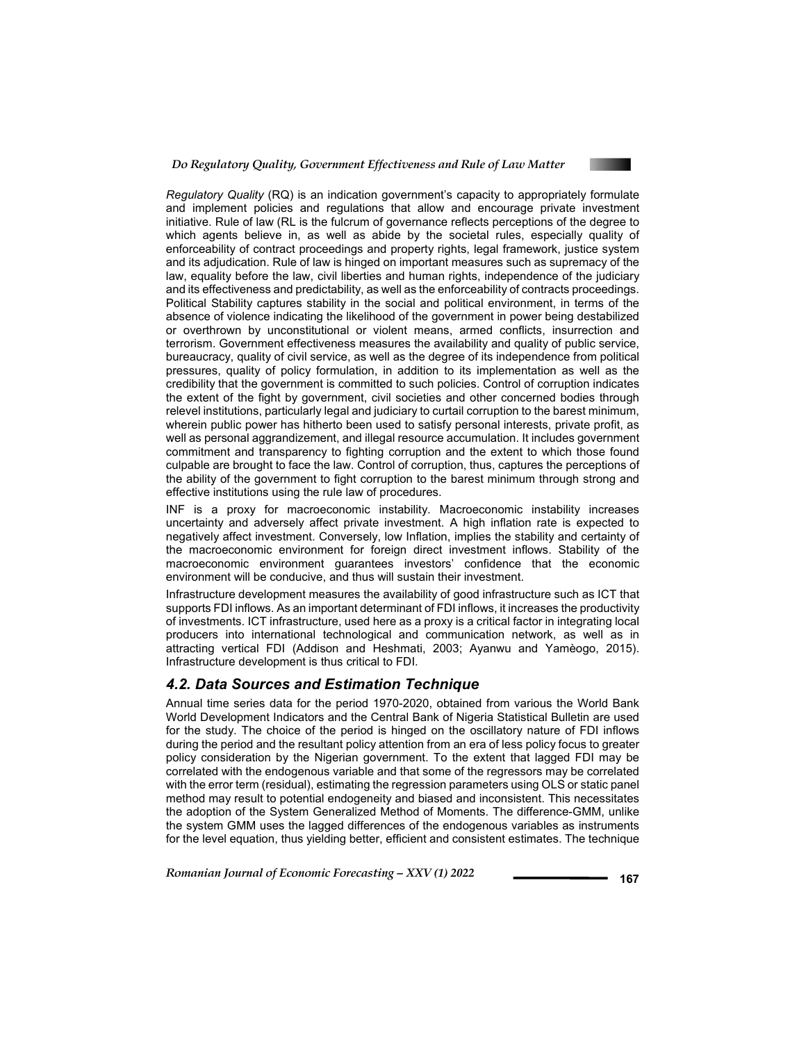

*Regulatory Quality* (RQ) is an indication government's capacity to appropriately formulate and implement policies and regulations that allow and encourage private investment initiative. Rule of law (RL is the fulcrum of governance reflects perceptions of the degree to which agents believe in, as well as abide by the societal rules, especially quality of enforceability of contract proceedings and property rights, legal framework, justice system and its adjudication. Rule of law is hinged on important measures such as supremacy of the law, equality before the law, civil liberties and human rights, independence of the judiciary and its effectiveness and predictability, as well as the enforceability of contracts proceedings. Political Stability captures stability in the social and political environment, in terms of the absence of violence indicating the likelihood of the government in power being destabilized or overthrown by unconstitutional or violent means, armed conflicts, insurrection and terrorism. Government effectiveness measures the availability and quality of public service, bureaucracy, quality of civil service, as well as the degree of its independence from political pressures, quality of policy formulation, in addition to its implementation as well as the credibility that the government is committed to such policies. Control of corruption indicates the extent of the fight by government, civil societies and other concerned bodies through relevel institutions, particularly legal and judiciary to curtail corruption to the barest minimum, wherein public power has hitherto been used to satisfy personal interests, private profit, as well as personal aggrandizement, and illegal resource accumulation. It includes government commitment and transparency to fighting corruption and the extent to which those found culpable are brought to face the law. Control of corruption, thus, captures the perceptions of the ability of the government to fight corruption to the barest minimum through strong and effective institutions using the rule law of procedures.

INF is a proxy for macroeconomic instability. Macroeconomic instability increases uncertainty and adversely affect private investment. A high inflation rate is expected to negatively affect investment. Conversely, low Inflation, implies the stability and certainty of the macroeconomic environment for foreign direct investment inflows. Stability of the macroeconomic environment guarantees investors' confidence that the economic environment will be conducive, and thus will sustain their investment.

Infrastructure development measures the availability of good infrastructure such as ICT that supports FDI inflows. As an important determinant of FDI inflows, it increases the productivity of investments. ICT infrastructure, used here as a proxy is a critical factor in integrating local producers into international technological and communication network, as well as in attracting vertical FDI (Addison and Heshmati, 2003; Ayanwu and Yamèogo, 2015). Infrastructure development is thus critical to FDI.

### *4.2. Data Sources and Estimation Technique*

Annual time series data for the period 1970-2020, obtained from various the World Bank World Development Indicators and the Central Bank of Nigeria Statistical Bulletin are used for the study. The choice of the period is hinged on the oscillatory nature of FDI inflows during the period and the resultant policy attention from an era of less policy focus to greater policy consideration by the Nigerian government. To the extent that lagged FDI may be correlated with the endogenous variable and that some of the regressors may be correlated with the error term (residual), estimating the regression parameters using OLS or static panel method may result to potential endogeneity and biased and inconsistent. This necessitates the adoption of the System Generalized Method of Moments. The difference-GMM, unlike the system GMM uses the lagged differences of the endogenous variables as instruments for the level equation, thus yielding better, efficient and consistent estimates. The technique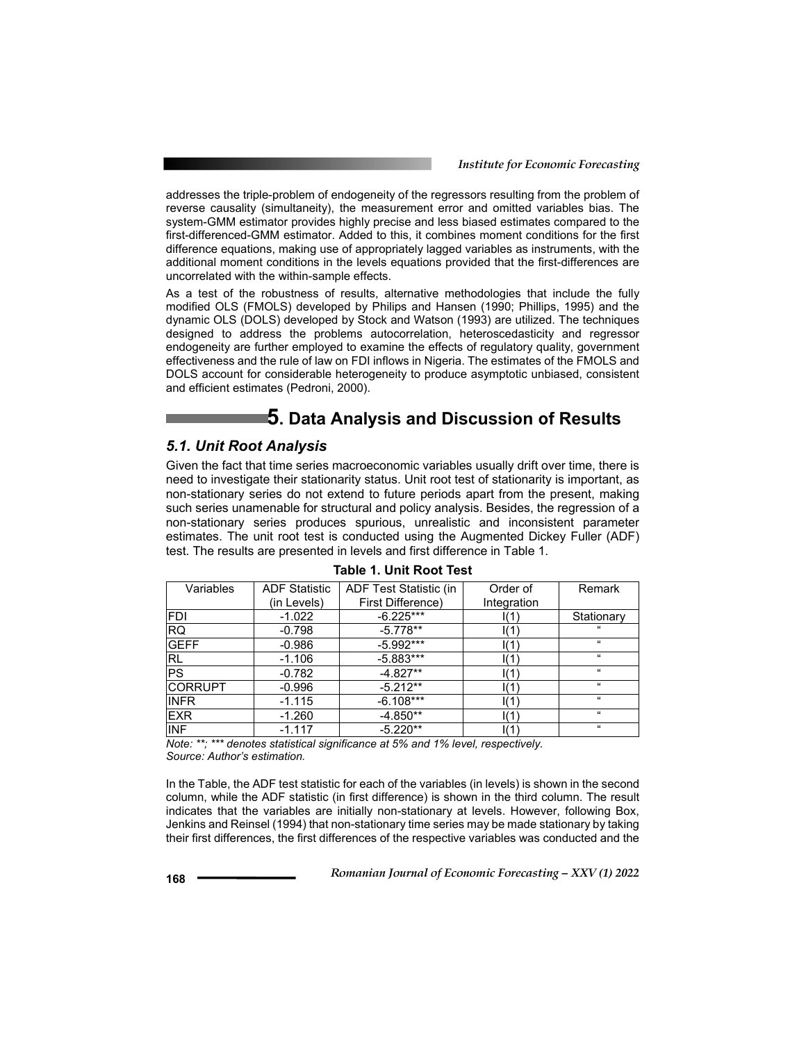addresses the triple-problem of endogeneity of the regressors resulting from the problem of reverse causality (simultaneity), the measurement error and omitted variables bias. The system-GMM estimator provides highly precise and less biased estimates compared to the first-differenced-GMM estimator. Added to this, it combines moment conditions for the first difference equations, making use of appropriately lagged variables as instruments, with the additional moment conditions in the levels equations provided that the first-differences are uncorrelated with the within-sample effects.

As a test of the robustness of results, alternative methodologies that include the fully modified OLS (FMOLS) developed by Philips and Hansen (1990; Phillips, 1995) and the dynamic OLS (DOLS) developed by Stock and Watson (1993) are utilized. The techniques designed to address the problems autocorrelation, heteroscedasticity and regressor endogeneity are further employed to examine the effects of regulatory quality, government effectiveness and the rule of law on FDI inflows in Nigeria. The estimates of the FMOLS and DOLS account for considerable heterogeneity to produce asymptotic unbiased, consistent and efficient estimates (Pedroni, 2000).

## **5. Data Analysis and Discussion of Results**

#### *5.1. Unit Root Analysis*

Given the fact that time series macroeconomic variables usually drift over time, there is need to investigate their stationarity status. Unit root test of stationarity is important, as non-stationary series do not extend to future periods apart from the present, making such series unamenable for structural and policy analysis. Besides, the regression of a non-stationary series produces spurious, unrealistic and inconsistent parameter estimates. The unit root test is conducted using the Augmented Dickey Fuller (ADF) test. The results are presented in levels and first difference in Table 1.

| Variables      | <b>ADF Statistic</b> | ADF Test Statistic (in | Order of        | Remark             |
|----------------|----------------------|------------------------|-----------------|--------------------|
|                | (in Levels)          | First Difference)      | Integration     |                    |
| <b>FDI</b>     | $-1.022$             | $-6.225***$            | l(1             | Stationary         |
| <b>RQ</b>      | $-0.798$             | $-5.778**$             | $\vert(1)$      | $\epsilon\epsilon$ |
| <b>GEFF</b>    | $-0.986$             | $-5.992***$            | $\mathsf{I}(1)$ | $\epsilon$         |
| <b>RL</b>      | $-1.106$             | $-5.883***$            | l(1             | $\alpha$           |
| PS             | $-0.782$             | $-4.827**$             | $\mathsf{I}(1)$ | $\alpha$           |
| <b>CORRUPT</b> | $-0.996$             | $-5.212**$             | $\mathsf{I}(1)$ | $\alpha$           |
| <b>INFR</b>    | $-1.115$             | $-6.108***$            | l(1             | $\alpha$           |
| <b>EXR</b>     | $-1.260$             | $-4.850**$             | $\mathsf{I}(1)$ | $\epsilon$         |
| <b>INF</b>     | $-1.117$             | $-5.220**$             | l(1             | $\alpha$           |

*Note: \*\*; \*\*\* denotes statistical significance at 5% and 1% level, respectively. Source: Author's estimation.* 

In the Table, the ADF test statistic for each of the variables (in levels) is shown in the second column, while the ADF statistic (in first difference) is shown in the third column. The result indicates that the variables are initially non-stationary at levels. However, following Box, Jenkins and Reinsel (1994) that non-stationary time series may be made stationary by taking their first differences, the first differences of the respective variables was conducted and the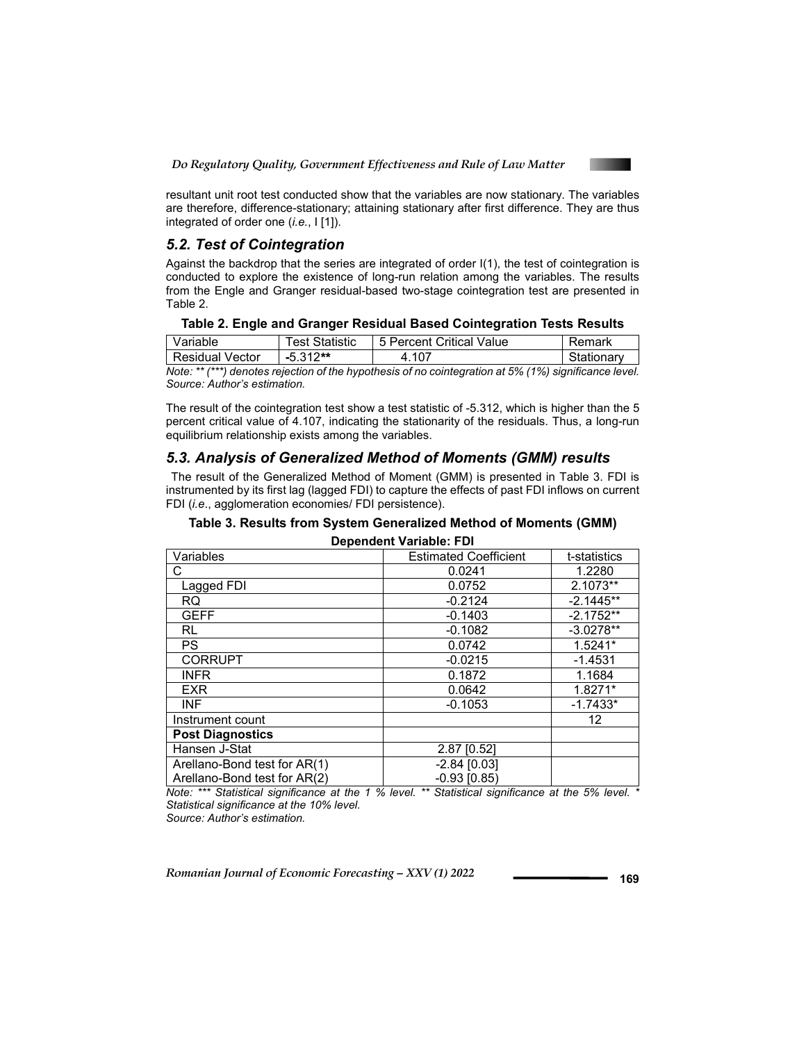

resultant unit root test conducted show that the variables are now stationary. The variables are therefore, difference-stationary; attaining stationary after first difference. They are thus integrated of order one (*i.e.*, I [1]).

#### *5.2. Test of Cointegration*

Against the backdrop that the series are integrated of order I(1), the test of cointegration is conducted to explore the existence of long-run relation among the variables. The results from the Engle and Granger residual-based two-stage cointegration test are presented in Table 2.

| Table 2. Engle and Granger Residual Based Cointegration Tests Results |  |  |  |  |  |  |  |
|-----------------------------------------------------------------------|--|--|--|--|--|--|--|
|-----------------------------------------------------------------------|--|--|--|--|--|--|--|

| Variable               | Test Statistic | l 5 Percent Critical Value | Remark     |
|------------------------|----------------|----------------------------|------------|
| <b>Residual Vector</b> | -5.312**       | .107                       | Stationary |

*Note: \*\* (\*\*\*) denotes rejection of the hypothesis of no cointegration at 5% (1%) significance level. Source: Author's estimation.* 

The result of the cointegration test show a test statistic of -5.312, which is higher than the 5 percent critical value of 4.107, indicating the stationarity of the residuals. Thus, a long-run equilibrium relationship exists among the variables.

### *5.3. Analysis of Generalized Method of Moments (GMM) results*

 The result of the Generalized Method of Moment (GMM) is presented in Table 3. FDI is instrumented by its first lag (lagged FDI) to capture the effects of past FDI inflows on current FDI (*i.e*., agglomeration economies/ FDI persistence).

# **Table 3. Results from System Generalized Method of Moments (GMM)**

| Dependent Variable: FDI |  |
|-------------------------|--|
|-------------------------|--|

| Variables                    | <b>Estimated Coefficient</b> | t-statistics |
|------------------------------|------------------------------|--------------|
| С                            | 0.0241                       | 1.2280       |
| Lagged FDI                   | 0.0752                       | 2.1073**     |
| RQ.                          | $-0.2124$                    | $-2.1445**$  |
| <b>GEFF</b>                  | $-0.1403$                    | $-2.1752**$  |
| RL.                          | $-0.1082$                    | $-3.0278**$  |
| PS.                          | 0.0742                       | $1.5241*$    |
| <b>CORRUPT</b>               | $-0.0215$                    | $-1.4531$    |
| <b>INFR</b>                  | 0.1872                       | 1.1684       |
| <b>EXR</b>                   | 0.0642                       | 1.8271*      |
| <b>INF</b>                   | $-0.1053$                    | $-1.7433*$   |
| Instrument count             |                              | 12           |
| <b>Post Diagnostics</b>      |                              |              |
| Hansen J-Stat                | 2.87 [0.52]                  |              |
| Arellano-Bond test for AR(1) | $-2.84$ [0.03]               |              |
| Arellano-Bond test for AR(2) | $-0.93$ $(0.85)$             |              |

*Note: \*\*\* Statistical significance at the 1 % level. \*\* Statistical significance at the 5% level. \* Statistical significance at the 10% level.* 

*Source: Author's estimation.*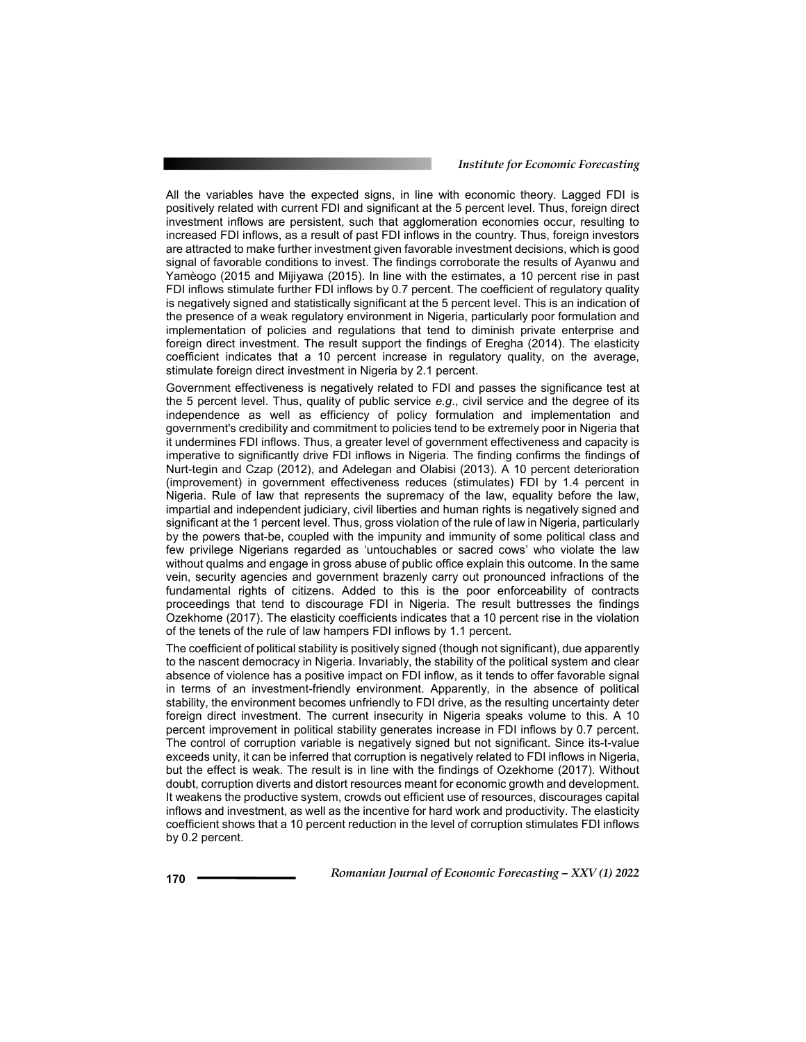All the variables have the expected signs, in line with economic theory. Lagged FDI is positively related with current FDI and significant at the 5 percent level. Thus, foreign direct investment inflows are persistent, such that agglomeration economies occur, resulting to increased FDI inflows, as a result of past FDI inflows in the country. Thus, foreign investors are attracted to make further investment given favorable investment decisions, which is good signal of favorable conditions to invest. The findings corroborate the results of Ayanwu and Yamèogo (2015 and Mijiyawa (2015). In line with the estimates, a 10 percent rise in past FDI inflows stimulate further FDI inflows by 0.7 percent. The coefficient of regulatory quality is negatively signed and statistically significant at the 5 percent level. This is an indication of the presence of a weak regulatory environment in Nigeria, particularly poor formulation and implementation of policies and regulations that tend to diminish private enterprise and foreign direct investment. The result support the findings of Eregha (2014). The elasticity coefficient indicates that a 10 percent increase in regulatory quality, on the average, stimulate foreign direct investment in Nigeria by 2.1 percent.

Government effectiveness is negatively related to FDI and passes the significance test at the 5 percent level. Thus, quality of public service *e.g*., civil service and the degree of its independence as well as efficiency of policy formulation and implementation and government's credibility and commitment to policies tend to be extremely poor in Nigeria that it undermines FDI inflows. Thus, a greater level of government effectiveness and capacity is imperative to significantly drive FDI inflows in Nigeria. The finding confirms the findings of Nurt-tegin and Czap (2012), and Adelegan and Olabisi (2013). A 10 percent deterioration (improvement) in government effectiveness reduces (stimulates) FDI by 1.4 percent in Nigeria. Rule of law that represents the supremacy of the law, equality before the law, impartial and independent judiciary, civil liberties and human rights is negatively signed and significant at the 1 percent level. Thus, gross violation of the rule of law in Nigeria, particularly by the powers that-be, coupled with the impunity and immunity of some political class and few privilege Nigerians regarded as 'untouchables or sacred cows' who violate the law without qualms and engage in gross abuse of public office explain this outcome. In the same vein, security agencies and government brazenly carry out pronounced infractions of the fundamental rights of citizens. Added to this is the poor enforceability of contracts proceedings that tend to discourage FDI in Nigeria. The result buttresses the findings Ozekhome (2017). The elasticity coefficients indicates that a 10 percent rise in the violation of the tenets of the rule of law hampers FDI inflows by 1.1 percent.

The coefficient of political stability is positively signed (though not significant), due apparently to the nascent democracy in Nigeria. Invariably, the stability of the political system and clear absence of violence has a positive impact on FDI inflow, as it tends to offer favorable signal in terms of an investment-friendly environment. Apparently, in the absence of political stability, the environment becomes unfriendly to FDI drive, as the resulting uncertainty deter foreign direct investment. The current insecurity in Nigeria speaks volume to this. A 10 percent improvement in political stability generates increase in FDI inflows by 0.7 percent. The control of corruption variable is negatively signed but not significant. Since its-t-value exceeds unity, it can be inferred that corruption is negatively related to FDI inflows in Nigeria, but the effect is weak. The result is in line with the findings of Ozekhome (2017). Without doubt, corruption diverts and distort resources meant for economic growth and development. It weakens the productive system, crowds out efficient use of resources, discourages capital inflows and investment, as well as the incentive for hard work and productivity. The elasticity coefficient shows that a 10 percent reduction in the level of corruption stimulates FDI inflows by 0.2 percent.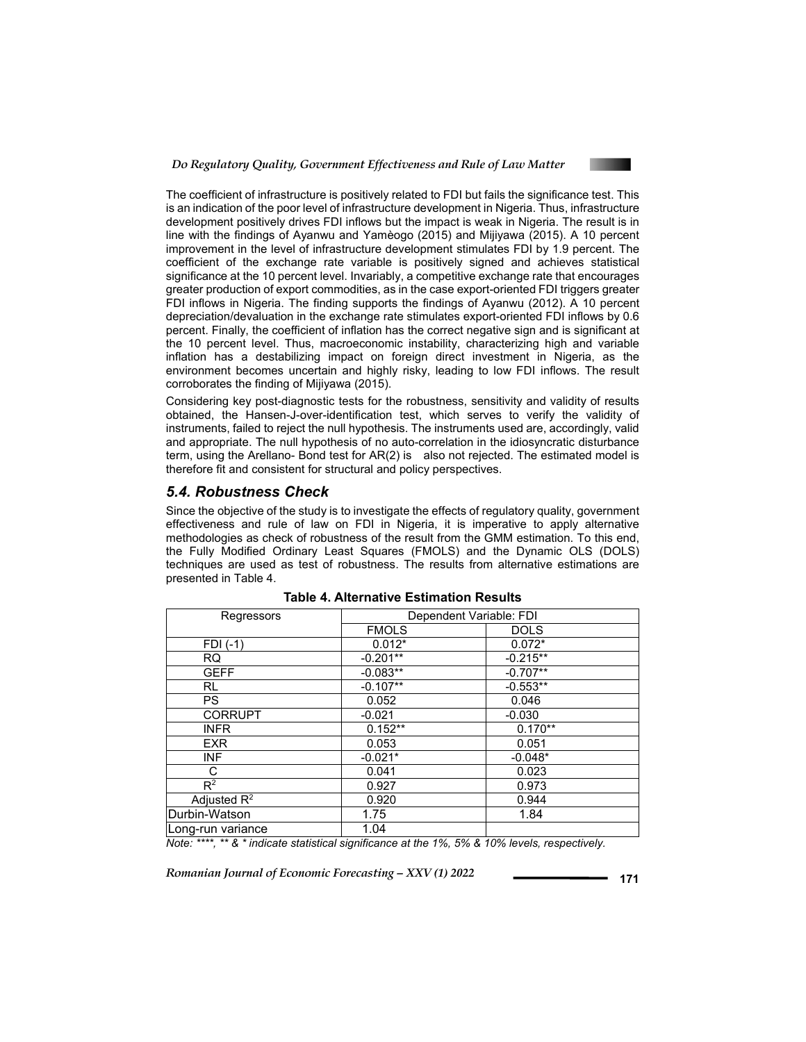

The coefficient of infrastructure is positively related to FDI but fails the significance test. This is an indication of the poor level of infrastructure development in Nigeria. Thus, infrastructure development positively drives FDI inflows but the impact is weak in Nigeria. The result is in line with the findings of Ayanwu and Yamèogo (2015) and Mijiyawa (2015). A 10 percent improvement in the level of infrastructure development stimulates FDI by 1.9 percent. The coefficient of the exchange rate variable is positively signed and achieves statistical significance at the 10 percent level. Invariably, a competitive exchange rate that encourages greater production of export commodities, as in the case export-oriented FDI triggers greater FDI inflows in Nigeria. The finding supports the findings of Ayanwu (2012). A 10 percent depreciation/devaluation in the exchange rate stimulates export-oriented FDI inflows by 0.6 percent. Finally, the coefficient of inflation has the correct negative sign and is significant at the 10 percent level. Thus, macroeconomic instability, characterizing high and variable inflation has a destabilizing impact on foreign direct investment in Nigeria, as the environment becomes uncertain and highly risky, leading to low FDI inflows. The result corroborates the finding of Mijiyawa (2015).

Considering key post-diagnostic tests for the robustness, sensitivity and validity of results obtained, the Hansen-J-over-identification test, which serves to verify the validity of instruments, failed to reject the null hypothesis. The instruments used are, accordingly, valid and appropriate. The null hypothesis of no auto-correlation in the idiosyncratic disturbance term, using the Arellano- Bond test for AR(2) is also not rejected. The estimated model is therefore fit and consistent for structural and policy perspectives.

### *5.4. Robustness Check*

Since the objective of the study is to investigate the effects of regulatory quality, government effectiveness and rule of law on FDI in Nigeria, it is imperative to apply alternative methodologies as check of robustness of the result from the GMM estimation. To this end, the Fully Modified Ordinary Least Squares (FMOLS) and the Dynamic OLS (DOLS) techniques are used as test of robustness. The results from alternative estimations are presented in Table 4.

| Regressors        | Dependent Variable: FDI |             |
|-------------------|-------------------------|-------------|
|                   | <b>FMOLS</b>            | <b>DOLS</b> |
| $FDI(-1)$         | $0.012*$                | $0.072*$    |
| <b>RQ</b>         | $-0.201**$              | $-0.215**$  |
| <b>GEFF</b>       | $-0.083**$              | $-0.707**$  |
| RL.               | $-0.107**$              | $-0.553**$  |
| <b>PS</b>         | 0.052                   | 0.046       |
| <b>CORRUPT</b>    | $-0.021$                | $-0.030$    |
| <b>INFR</b>       | $0.152**$               | $0.170**$   |
| <b>EXR</b>        | 0.053                   | 0.051       |
| INF               | $-0.021*$               | $-0.048*$   |
| С                 | 0.041                   | 0.023       |
| $R^2$             | 0.927                   | 0.973       |
| Adjusted $R^2$    | 0.920                   | 0.944       |
| Durbin-Watson     | 1.75                    | 1.84        |
| Long-run variance | 1.04                    |             |

| Table 4. Alternative Estimation Results |  |  |  |  |
|-----------------------------------------|--|--|--|--|
|-----------------------------------------|--|--|--|--|

*Note: \*\*\*\*, \*\* & \* indicate statistical significance at the 1%, 5% & 10% levels, respectively.*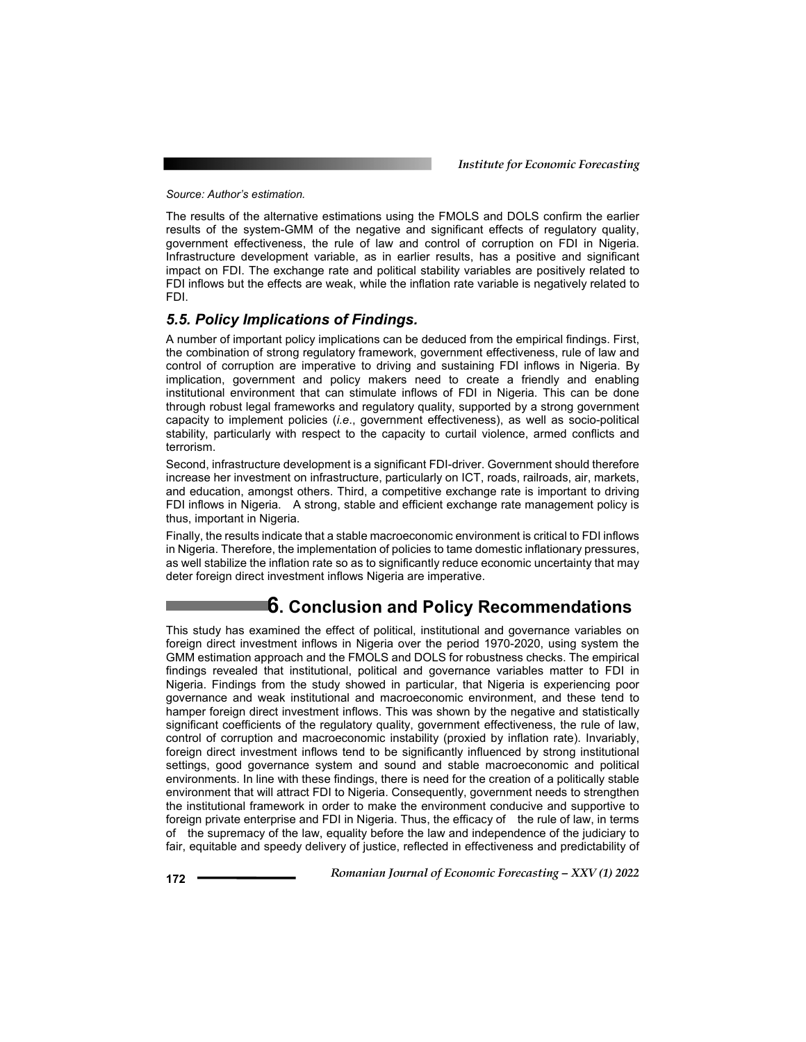*Source: Author's estimation.* 

The results of the alternative estimations using the FMOLS and DOLS confirm the earlier results of the system-GMM of the negative and significant effects of regulatory quality, government effectiveness, the rule of law and control of corruption on FDI in Nigeria. Infrastructure development variable, as in earlier results, has a positive and significant impact on FDI. The exchange rate and political stability variables are positively related to FDI inflows but the effects are weak, while the inflation rate variable is negatively related to FDI.

### *5.5. Policy Implications of Findings.*

A number of important policy implications can be deduced from the empirical findings. First, the combination of strong regulatory framework, government effectiveness, rule of law and control of corruption are imperative to driving and sustaining FDI inflows in Nigeria. By implication, government and policy makers need to create a friendly and enabling institutional environment that can stimulate inflows of FDI in Nigeria. This can be done through robust legal frameworks and regulatory quality, supported by a strong government capacity to implement policies (*i.e*., government effectiveness), as well as socio-political stability, particularly with respect to the capacity to curtail violence, armed conflicts and terrorism.

Second, infrastructure development is a significant FDI-driver. Government should therefore increase her investment on infrastructure, particularly on ICT, roads, railroads, air, markets, and education, amongst others. Third, a competitive exchange rate is important to driving FDI inflows in Nigeria. A strong, stable and efficient exchange rate management policy is thus, important in Nigeria.

Finally, the results indicate that a stable macroeconomic environment is critical to FDI inflows in Nigeria. Therefore, the implementation of policies to tame domestic inflationary pressures, as well stabilize the inflation rate so as to significantly reduce economic uncertainty that may deter foreign direct investment inflows Nigeria are imperative.

## **6. Conclusion and Policy Recommendations**

This study has examined the effect of political, institutional and governance variables on foreign direct investment inflows in Nigeria over the period 1970-2020, using system the GMM estimation approach and the FMOLS and DOLS for robustness checks. The empirical findings revealed that institutional, political and governance variables matter to FDI in Nigeria. Findings from the study showed in particular, that Nigeria is experiencing poor governance and weak institutional and macroeconomic environment, and these tend to hamper foreign direct investment inflows. This was shown by the negative and statistically significant coefficients of the regulatory quality, government effectiveness, the rule of law, control of corruption and macroeconomic instability (proxied by inflation rate). Invariably, foreign direct investment inflows tend to be significantly influenced by strong institutional settings, good governance system and sound and stable macroeconomic and political environments. In line with these findings, there is need for the creation of a politically stable environment that will attract FDI to Nigeria. Consequently, government needs to strengthen the institutional framework in order to make the environment conducive and supportive to foreign private enterprise and FDI in Nigeria. Thus, the efficacy of the rule of law, in terms of the supremacy of the law, equality before the law and independence of the judiciary to fair, equitable and speedy delivery of justice, reflected in effectiveness and predictability of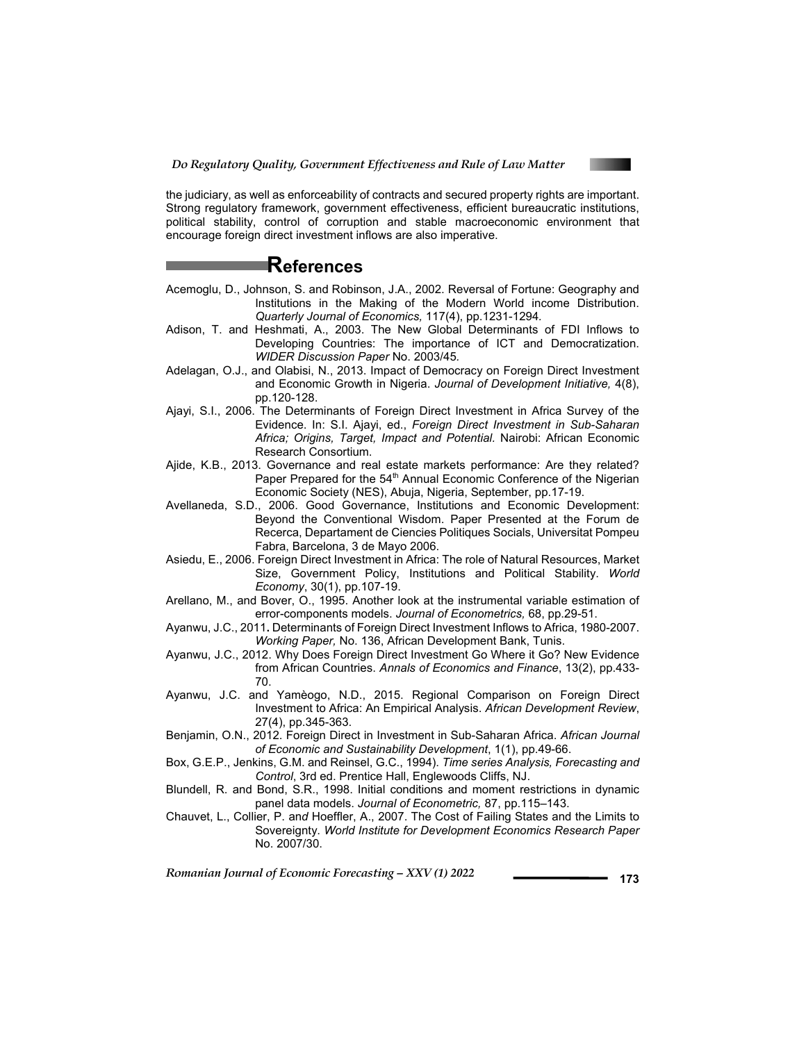

the judiciary, as well as enforceability of contracts and secured property rights are important. Strong regulatory framework, government effectiveness, efficient bureaucratic institutions, political stability, control of corruption and stable macroeconomic environment that encourage foreign direct investment inflows are also imperative.

## **References**

- Acemoglu, D., Johnson, S. and Robinson, J.A., 2002. Reversal of Fortune: Geography and Institutions in the Making of the Modern World income Distribution. *Quarterly Journal of Economics,* 117(4), pp.1231-1294*.*
- Adison, T. and Heshmati, A., 2003. The New Global Determinants of FDI Inflows to Developing Countries: The importance of ICT and Democratization. *WIDER Discussion Paper* No. 2003/45*.*
- Adelagan, O.J., and Olabisi, N., 2013. Impact of Democracy on Foreign Direct Investment and Economic Growth in Nigeria. *Journal of Development Initiative,* 4(8), pp.120-128.
- Ajayi, S.I., 2006. The Determinants of Foreign Direct Investment in Africa Survey of the Evidence. In: S.I. Ajayi, ed., *Foreign Direct Investment in Sub-Saharan Africa; Origins, Target, Impact and Potential.* Nairobi: African Economic Research Consortium.
- Ajide, K.B., 2013. Governance and real estate markets performance: Are they related? Paper Prepared for the 54<sup>th</sup> Annual Economic Conference of the Nigerian Economic Society (NES), Abuja, Nigeria, September, pp.17-19.
- Avellaneda, S.D., 2006. Good Governance, Institutions and Economic Development: Beyond the Conventional Wisdom. Paper Presented at the Forum de Recerca, Departament de Ciencies Politiques Socials, Universitat Pompeu Fabra, Barcelona, 3 de Mayo 2006.
- Asiedu, E., 2006. Foreign Direct Investment in Africa: The role of Natural Resources, Market Size, Government Policy, Institutions and Political Stability. *World Economy*, 30(1), pp.107-19.
- Arellano, M., and Bover, O., 1995. Another look at the instrumental variable estimation of error-components models. *Journal of Econometrics,* 68, pp.29-51.
- Ayanwu, J.C., 2011**.** Determinants of Foreign Direct Investment Inflows to Africa, 1980-2007. *Working Paper,* No. 136, African Development Bank, Tunis.
- Ayanwu, J.C., 2012. Why Does Foreign Direct Investment Go Where it Go? New Evidence from African Countries. *Annals of Economics and Finance*, 13(2), pp.433- 70.
- Ayanwu, J.C. and Yamèogo, N.D., 2015. Regional Comparison on Foreign Direct Investment to Africa: An Empirical Analysis. *African Development Review*, 27(4), pp.345-363.
- Benjamin, O.N., 2012. Foreign Direct in Investment in Sub-Saharan Africa. *African Journal of Economic and Sustainability Development*, 1(1), pp.49-66.
- Box, G.E.P., Jenkins, G.M. and Reinsel, G.C., 1994). *Time series Analysis, Forecasting and Control*, 3rd ed. Prentice Hall, Englewoods Cliffs, NJ.
- Blundell, R. and Bond, S.R., 1998. Initial conditions and moment restrictions in dynamic panel data models. *Journal of Econometric,* 87, pp.115–143.
- Chauvet, L., Collier, P. an*d* Hoeffler, A., 2007. The Cost of Failing States and the Limits to Sovereignty. *World Institute for Development Economics Research Paper*  No. 2007/30.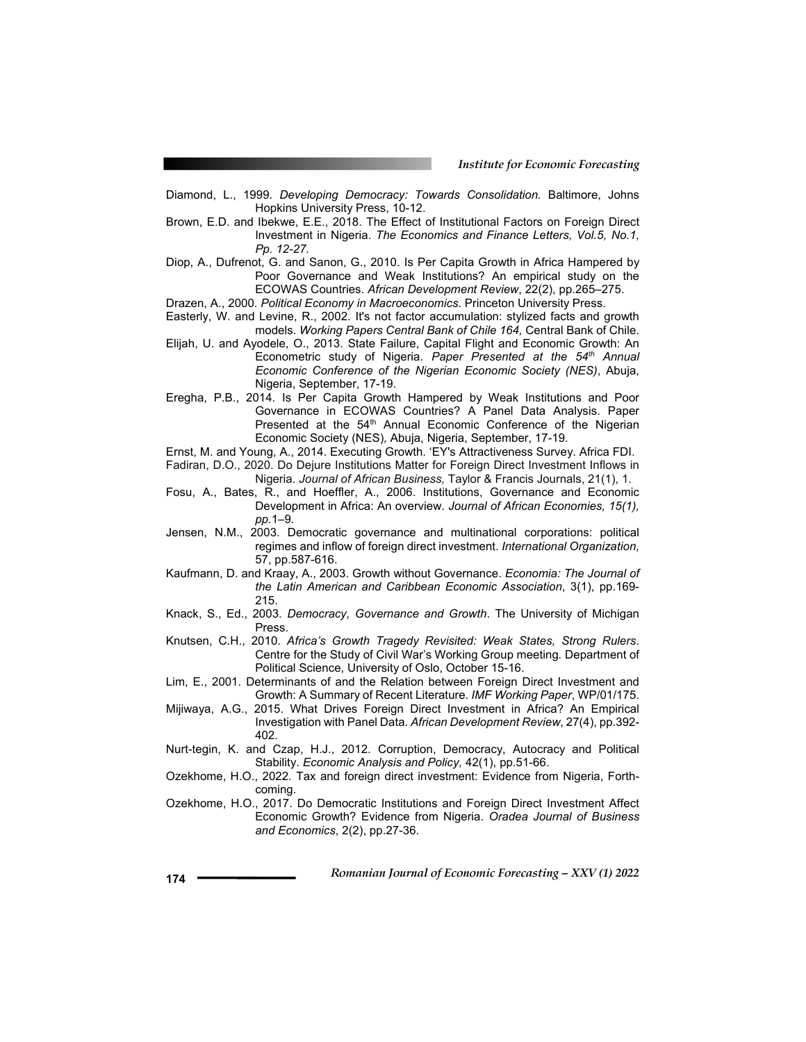- Diamond, L., 1999. *Developing Democracy: Towards Consolidation.* Baltimore, Johns Hopkins University Press, 10-12.
- Brown, E.D. and Ibekwe, E.E., 2018. The Effect of Institutional Factors on Foreign Direct Investment in Nigeria. *The Economics and Finance Letters, Vol.5, No.1, Pp. 12-27.*
- Diop, A., Dufrenot, G. and Sanon, G., 2010. Is Per Capita Growth in Africa Hampered by Poor Governance and Weak Institutions? An empirical study on the ECOWAS Countries. *African Development Review*, 22(2), pp.265–275.
- Drazen, A., 2000. *Political Economy in Macroeconomics*. Princeton University Press.
- Easterly, W. and Levine, R., 2002. It's not factor accumulation: stylized facts and growth models. *Working Papers Central Bank of Chile 164,* Central Bank of Chile.
- Elijah, U. and Ayodele, O., 2013. State Failure, Capital Flight and Economic Growth: An Econometric study of Nigeria. *Paper Presented at the 54<sup>th</sup> Annual Economic Conference of the Nigerian Economic Society (NES)*, Abuja, Nigeria, September, 17-19.
- Eregha, P.B., 2014. Is Per Capita Growth Hampered by Weak Institutions and Poor Governance in ECOWAS Countries? A Panel Data Analysis. Paper Presented at the 54<sup>th</sup> Annual Economic Conference of the Nigerian Economic Society (NES)*,* Abuja, Nigeria, September, 17-19.

Ernst, M. and Young, A., 2014. Executing Growth. 'EY's Attractiveness Survey. Africa FDI.

- Fadiran, D.O., 2020. Do Dejure Institutions Matter for Foreign Direct Investment Inflows in Nigeria. *Journal of African Business,* Taylor & Francis Journals, 21(1), 1.
- Fosu, A., Bates, R., and Hoeffler, A., 2006. Institutions, Governance and Economic Development in Africa: An overview. *Journal of African Economies, 15(1), pp.*1–9.
- Jensen, N.M., 2003. Democratic governance and multinational corporations: political regimes and inflow of foreign direct investment. *International Organization,*  57, pp.587-616.
- Kaufmann, D. and Kraay, A., 2003. Growth without Governance. *Economia: The Journal of the Latin American and Caribbean Economic Association*, 3(1), pp.169- 215.
- Knack, S., Ed., 2003. *Democracy, Governance and Growth*. The University of Michigan Press.
- Knutsen, C.H., 2010. *Africa's Growth Tragedy Revisited: Weak States, Strong Rulers*. Centre for the Study of Civil War's Working Group meeting*.* Department of Political Science, University of Oslo, October 15-16.
- Lim, E., 2001. Determinants of and the Relation between Foreign Direct Investment and Growth: A Summary of Recent Literature. *IMF Working Paper*, WP/01/175.
- Mijiwaya, A.G., 2015. What Drives Foreign Direct Investment in Africa? An Empirical Investigation with Panel Data. *African Development Review*, 27(4), pp.392- 402.
- Nurt-tegin, K. and Czap, H.J., 2012. Corruption, Democracy, Autocracy and Political Stability. *Economic Analysis and Policy,* 42(1), pp.51-66.
- Ozekhome, H.O., 2022. Tax and foreign direct investment: Evidence from Nigeria, Forthcoming.
- Ozekhome, H.O., 2017. Do Democratic Institutions and Foreign Direct Investment Affect Economic Growth? Evidence from Nigeria. *Oradea Journal of Business and Economics*, 2(2), pp.27-36.